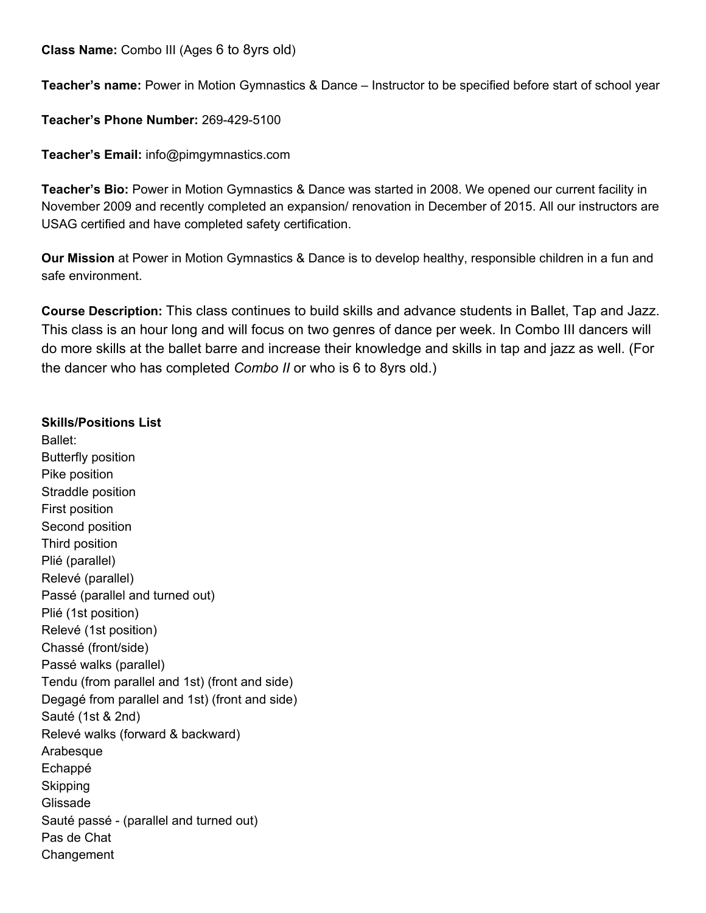**Class Name:** Combo III (Ages 6 to 8yrs old)

**Teacher's name:** Power in Motion Gymnastics & Dance – Instructor to be specified before start of school year

**Teacher's Phone Number:** 269-429-5100

**Teacher's Email:** info@pimgymnastics.com

**Teacher's Bio:** Power in Motion Gymnastics & Dance was started in 2008. We opened our current facility in November 2009 and recently completed an expansion/ renovation in December of 2015. All our instructors are USAG certified and have completed safety certification.

**Our Mission** at Power in Motion Gymnastics & Dance is to develop healthy, responsible children in a fun and safe environment.

**Course Description:** This class continues to build skills and advance students in Ballet, Tap and Jazz. This class is an hour long and will focus on two genres of dance per week. In Combo III dancers will do more skills at the ballet barre and increase their knowledge and skills in tap and jazz as well. (For the dancer who has completed *Combo II* or who is 6 to 8yrs old.)

## **Skills/Positions List**

Ballet: Butterfly position Pike position Straddle position First position Second position Third position Plié (parallel) Relevé (parallel) Passé (parallel and turned out) Plié (1st position) Relevé (1st position) Chassé (front/side) Passé walks (parallel) Tendu (from parallel and 1st) (front and side) Degagé from parallel and 1st) (front and side) Sauté (1st & 2nd) Relevé walks (forward & backward) Arabesque Echappé Skipping Glissade Sauté passé - (parallel and turned out) Pas de Chat Changement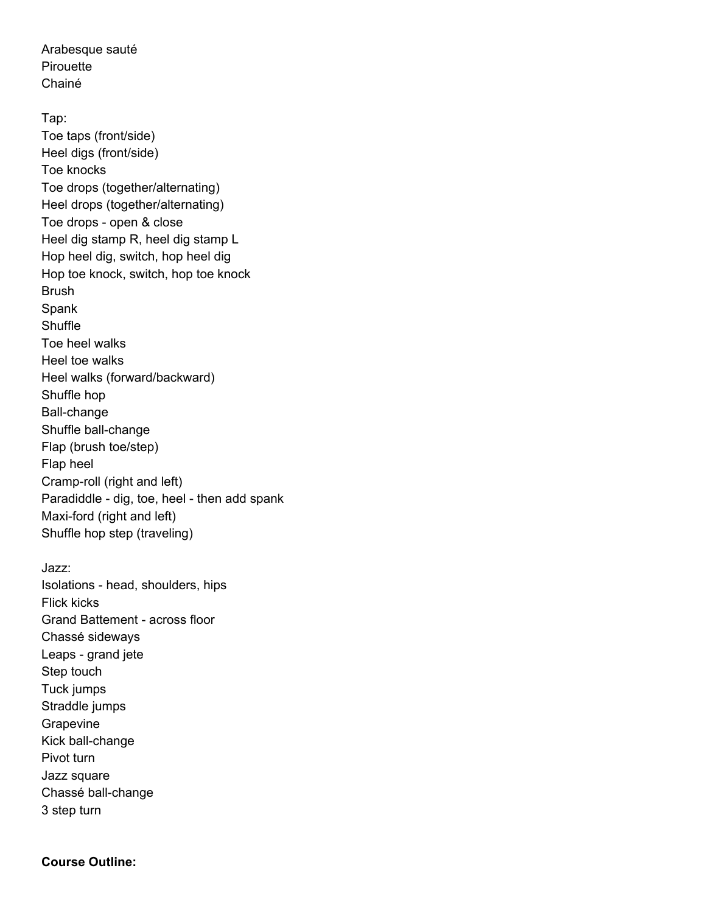Arabesque sauté **Pirouette** Chainé

Tap: Toe taps (front/side) Heel digs (front/side) Toe knocks Toe drops (together/alternating) Heel drops (together/alternating) Toe drops - open & close Heel dig stamp R, heel dig stamp L Hop heel dig, switch, hop heel dig Hop toe knock, switch, hop toe knock Brush Spank **Shuffle** Toe heel walks Heel toe walks Heel walks (forward/backward) Shuffle hop Ball-change Shuffle ball-change Flap (brush toe/step) Flap heel Cramp-roll (right and left) Paradiddle - dig, toe, heel - then add spank Maxi-ford (right and left) Shuffle hop step (traveling)

Jazz: Isolations - head, shoulders, hips Flick kicks Grand Battement - across floor Chassé sideways Leaps - grand jete Step touch Tuck jumps Straddle jumps Grapevine Kick ball-change Pivot turn Jazz square Chassé ball-change 3 step turn

## **Course Outline:**